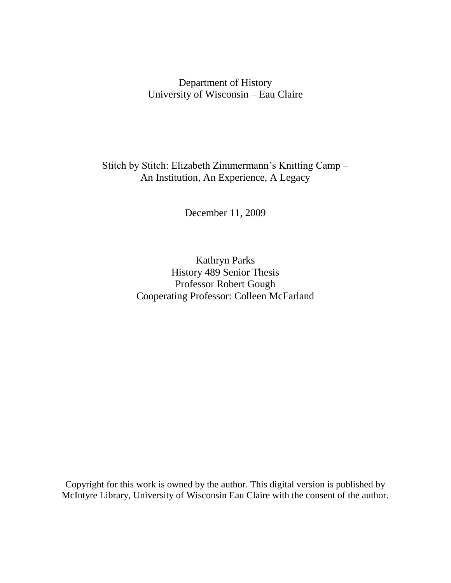# Department of History University of Wisconsin – Eau Claire

Stitch by Stitch: Elizabeth Zimmermann"s Knitting Camp – An Institution, An Experience, A Legacy

December 11, 2009

Kathryn Parks History 489 Senior Thesis Professor Robert Gough Cooperating Professor: Colleen McFarland

Copyright for this work is owned by the author. This digital version is published by McIntyre Library, University of Wisconsin Eau Claire with the consent of the author.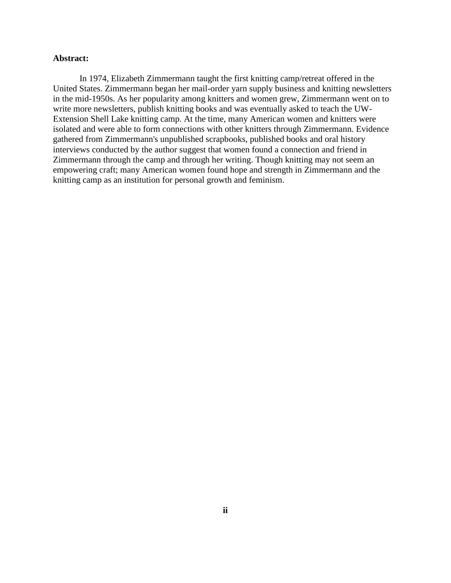## **Abstract:**

In 1974, Elizabeth Zimmermann taught the first knitting camp/retreat offered in the United States. Zimmermann began her mail-order yarn supply business and knitting newsletters in the mid-1950s. As her popularity among knitters and women grew, Zimmermann went on to write more newsletters, publish knitting books and was eventually asked to teach the UW-Extension Shell Lake knitting camp. At the time, many American women and knitters were isolated and were able to form connections with other knitters through Zimmermann. Evidence gathered from Zimmermann's unpublished scrapbooks, published books and oral history interviews conducted by the author suggest that women found a connection and friend in Zimmermann through the camp and through her writing. Though knitting may not seem an empowering craft; many American women found hope and strength in Zimmermann and the knitting camp as an institution for personal growth and feminism.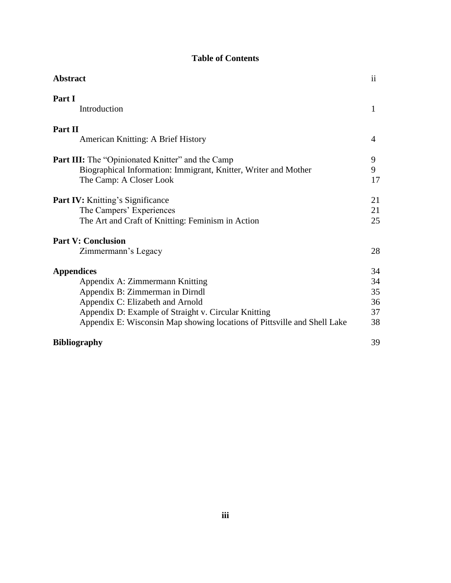# **Table of Contents**

| <b>Abstract</b>                                                                                                                                                                                                                                                 | $\ddot{\rm ii}$                  |
|-----------------------------------------------------------------------------------------------------------------------------------------------------------------------------------------------------------------------------------------------------------------|----------------------------------|
| Part I<br>Introduction                                                                                                                                                                                                                                          | 1                                |
| Part II<br>American Knitting: A Brief History                                                                                                                                                                                                                   | 4                                |
| <b>Part III:</b> The "Opinionated Knitter" and the Camp<br>Biographical Information: Immigrant, Knitter, Writer and Mother<br>The Camp: A Closer Look                                                                                                           | 9<br>9<br>17                     |
| <b>Part IV:</b> Knitting's Significance<br>The Campers' Experiences<br>The Art and Craft of Knitting: Feminism in Action                                                                                                                                        | 21<br>21<br>25                   |
| <b>Part V: Conclusion</b><br>Zimmermann's Legacy                                                                                                                                                                                                                | 28                               |
| <b>Appendices</b><br>Appendix A: Zimmermann Knitting<br>Appendix B: Zimmerman in Dirndl<br>Appendix C: Elizabeth and Arnold<br>Appendix D: Example of Straight v. Circular Knitting<br>Appendix E: Wisconsin Map showing locations of Pittsville and Shell Lake | 34<br>34<br>35<br>36<br>37<br>38 |
| <b>Bibliography</b>                                                                                                                                                                                                                                             | 39                               |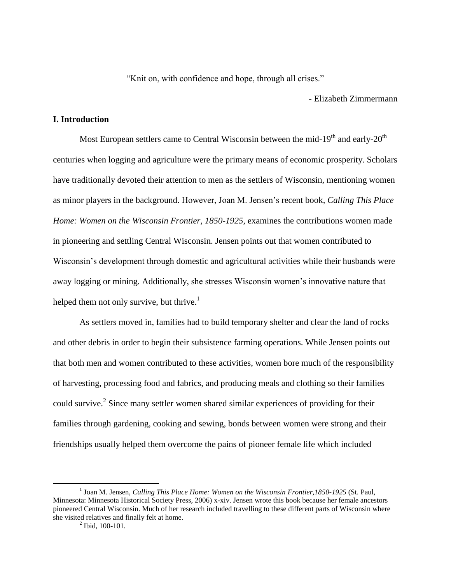"Knit on, with confidence and hope, through all crises."

- Elizabeth Zimmermann

# **I. Introduction**

Most European settlers came to Central Wisconsin between the mid-19<sup>th</sup> and early-20<sup>th</sup> centuries when logging and agriculture were the primary means of economic prosperity. Scholars have traditionally devoted their attention to men as the settlers of Wisconsin, mentioning women as minor players in the background. However, Joan M. Jensen"s recent book, *Calling This Place Home: Women on the Wisconsin Frontier, 1850-1925*, examines the contributions women made in pioneering and settling Central Wisconsin. Jensen points out that women contributed to Wisconsin"s development through domestic and agricultural activities while their husbands were away logging or mining. Additionally, she stresses Wisconsin women"s innovative nature that helped them not only survive, but thrive. $1$ 

As settlers moved in, families had to build temporary shelter and clear the land of rocks and other debris in order to begin their subsistence farming operations. While Jensen points out that both men and women contributed to these activities, women bore much of the responsibility of harvesting, processing food and fabrics, and producing meals and clothing so their families could survive.<sup>2</sup> Since many settler women shared similar experiences of providing for their families through gardening, cooking and sewing, bonds between women were strong and their friendships usually helped them overcome the pains of pioneer female life which included

<sup>&</sup>lt;sup>1</sup> Joan M. Jensen, *Calling This Place Home: Women on the Wisconsin Frontier, 1850-1925* (St. Paul, Minnesota: Minnesota Historical Society Press, 2006) x-xiv. Jensen wrote this book because her female ancestors pioneered Central Wisconsin. Much of her research included travelling to these different parts of Wisconsin where she visited relatives and finally felt at home.

 $2$  Ibid, 100-101.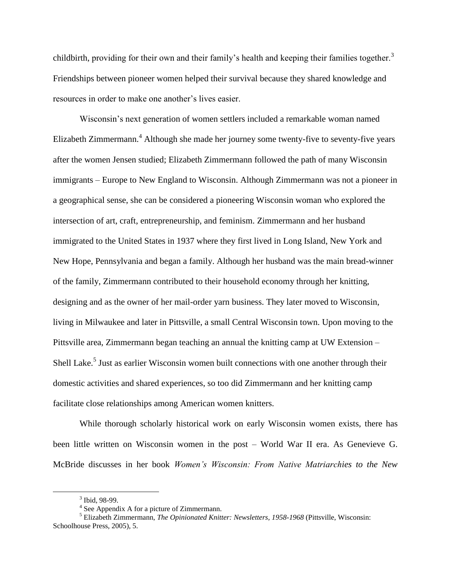childbirth, providing for their own and their family's health and keeping their families together.<sup>3</sup> Friendships between pioneer women helped their survival because they shared knowledge and resources in order to make one another"s lives easier.

Wisconsin"s next generation of women settlers included a remarkable woman named Elizabeth Zimmermann.<sup>4</sup> Although she made her journey some twenty-five to seventy-five years after the women Jensen studied; Elizabeth Zimmermann followed the path of many Wisconsin immigrants – Europe to New England to Wisconsin. Although Zimmermann was not a pioneer in a geographical sense, she can be considered a pioneering Wisconsin woman who explored the intersection of art, craft, entrepreneurship, and feminism. Zimmermann and her husband immigrated to the United States in 1937 where they first lived in Long Island, New York and New Hope, Pennsylvania and began a family. Although her husband was the main bread-winner of the family, Zimmermann contributed to their household economy through her knitting, designing and as the owner of her mail-order yarn business. They later moved to Wisconsin, living in Milwaukee and later in Pittsville, a small Central Wisconsin town. Upon moving to the Pittsville area, Zimmermann began teaching an annual the knitting camp at UW Extension – Shell Lake.<sup>5</sup> Just as earlier Wisconsin women built connections with one another through their domestic activities and shared experiences, so too did Zimmermann and her knitting camp facilitate close relationships among American women knitters.

While thorough scholarly historical work on early Wisconsin women exists, there has been little written on Wisconsin women in the post – World War II era. As Genevieve G. McBride discusses in her book *Women's Wisconsin: From Native Matriarchies to the New* 

<sup>&</sup>lt;sup>3</sup> Ibid, 98-99.

<sup>&</sup>lt;sup>4</sup> See Appendix A for a picture of Zimmermann.

<sup>5</sup> Elizabeth Zimmermann, *The Opinionated Knitter: Newsletters, 1958-1968* (Pittsville, Wisconsin: Schoolhouse Press, 2005), 5.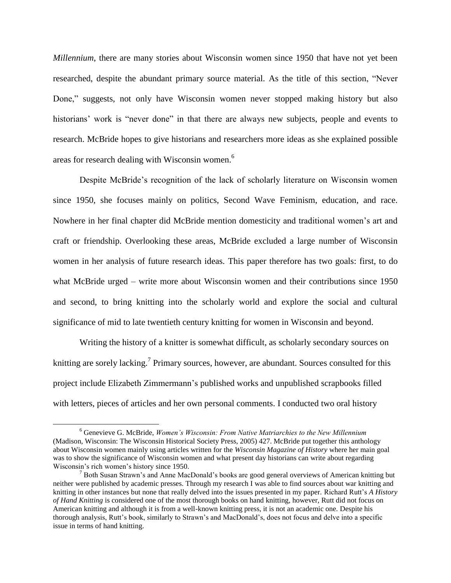*Millennium*, there are many stories about Wisconsin women since 1950 that have not yet been researched, despite the abundant primary source material. As the title of this section, "Never Done," suggests, not only have Wisconsin women never stopped making history but also historians' work is "never done" in that there are always new subjects, people and events to research. McBride hopes to give historians and researchers more ideas as she explained possible areas for research dealing with Wisconsin women.<sup>6</sup>

Despite McBride"s recognition of the lack of scholarly literature on Wisconsin women since 1950, she focuses mainly on politics, Second Wave Feminism, education, and race. Nowhere in her final chapter did McBride mention domesticity and traditional women"s art and craft or friendship. Overlooking these areas, McBride excluded a large number of Wisconsin women in her analysis of future research ideas. This paper therefore has two goals: first, to do what McBride urged – write more about Wisconsin women and their contributions since 1950 and second, to bring knitting into the scholarly world and explore the social and cultural significance of mid to late twentieth century knitting for women in Wisconsin and beyond.

Writing the history of a knitter is somewhat difficult, as scholarly secondary sources on knitting are sorely lacking.<sup>7</sup> Primary sources, however, are abundant. Sources consulted for this project include Elizabeth Zimmermann"s published works and unpublished scrapbooks filled with letters, pieces of articles and her own personal comments. I conducted two oral history

<sup>6</sup> Genevieve G. McBride, *Women's Wisconsin: From Native Matriarchies to the New Millennium* (Madison, Wisconsin: The Wisconsin Historical Society Press, 2005) 427. McBride put together this anthology about Wisconsin women mainly using articles written for the *Wisconsin Magazine of History* where her main goal was to show the significance of Wisconsin women and what present day historians can write about regarding Wisconsin"s rich women"s history since 1950.

 $<sup>7</sup>$  Both Susan Strawn's and Anne MacDonald's books are good general overviews of American knitting but</sup> neither were published by academic presses. Through my research I was able to find sources about war knitting and knitting in other instances but none that really delved into the issues presented in my paper. Richard Rutt"s *A History of Hand Knitting* is considered one of the most thorough books on hand knitting, however, Rutt did not focus on American knitting and although it is from a well-known knitting press, it is not an academic one. Despite his thorough analysis, Rutt"s book, similarly to Strawn"s and MacDonald"s, does not focus and delve into a specific issue in terms of hand knitting.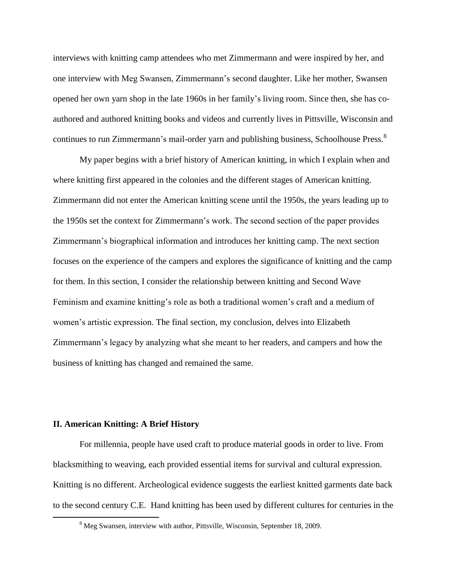interviews with knitting camp attendees who met Zimmermann and were inspired by her, and one interview with Meg Swansen, Zimmermann"s second daughter. Like her mother, Swansen opened her own yarn shop in the late 1960s in her family"s living room. Since then, she has coauthored and authored knitting books and videos and currently lives in Pittsville, Wisconsin and continues to run Zimmermann's mail-order yarn and publishing business, Schoolhouse Press.<sup>8</sup>

My paper begins with a brief history of American knitting, in which I explain when and where knitting first appeared in the colonies and the different stages of American knitting. Zimmermann did not enter the American knitting scene until the 1950s, the years leading up to the 1950s set the context for Zimmermann"s work. The second section of the paper provides Zimmermann"s biographical information and introduces her knitting camp. The next section focuses on the experience of the campers and explores the significance of knitting and the camp for them. In this section, I consider the relationship between knitting and Second Wave Feminism and examine knitting's role as both a traditional women's craft and a medium of women"s artistic expression. The final section, my conclusion, delves into Elizabeth Zimmermann"s legacy by analyzing what she meant to her readers, and campers and how the business of knitting has changed and remained the same.

#### **II. American Knitting: A Brief History**

 $\overline{a}$ 

For millennia, people have used craft to produce material goods in order to live. From blacksmithing to weaving, each provided essential items for survival and cultural expression. Knitting is no different. Archeological evidence suggests the earliest knitted garments date back to the second century C.E. Hand knitting has been used by different cultures for centuries in the

<sup>8</sup> Meg Swansen, interview with author, Pittsville, Wisconsin, September 18, 2009.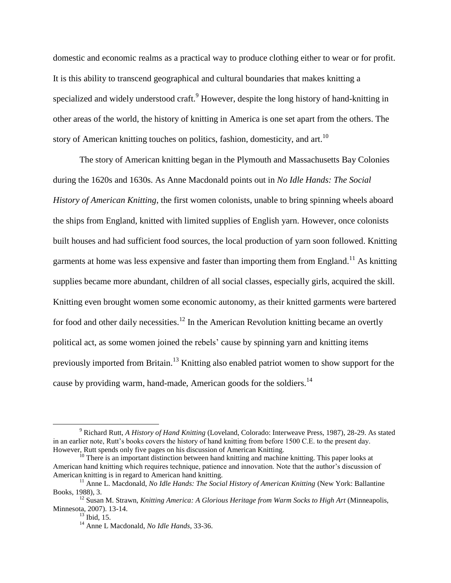domestic and economic realms as a practical way to produce clothing either to wear or for profit. It is this ability to transcend geographical and cultural boundaries that makes knitting a specialized and widely understood craft.<sup>9</sup> However, despite the long history of hand-knitting in other areas of the world, the history of knitting in America is one set apart from the others. The story of American knitting touches on politics, fashion, domesticity, and art.<sup>10</sup>

The story of American knitting began in the Plymouth and Massachusetts Bay Colonies during the 1620s and 1630s. As Anne Macdonald points out in *No Idle Hands: The Social History of American Knitting*, the first women colonists, unable to bring spinning wheels aboard the ships from England, knitted with limited supplies of English yarn. However, once colonists built houses and had sufficient food sources, the local production of yarn soon followed. Knitting garments at home was less expensive and faster than importing them from England.<sup>11</sup> As knitting supplies became more abundant, children of all social classes, especially girls, acquired the skill. Knitting even brought women some economic autonomy, as their knitted garments were bartered for food and other daily necessities.<sup>12</sup> In the American Revolution knitting became an overtly political act, as some women joined the rebels' cause by spinning yarn and knitting items previously imported from Britain.<sup>13</sup> Knitting also enabled patriot women to show support for the cause by providing warm, hand-made, American goods for the soldiers.<sup>14</sup>

<sup>9</sup> Richard Rutt, *A History of Hand Knitting* (Loveland, Colorado: Interweave Press, 1987), 28-29. As stated in an earlier note, Rutt's books covers the history of hand knitting from before 1500 C.E. to the present day. However, Rutt spends only five pages on his discussion of American Knitting.

 $10$  There is an important distinction between hand knitting and machine knitting. This paper looks at American hand knitting which requires technique, patience and innovation. Note that the author"s discussion of American knitting is in regard to American hand knitting.

<sup>11</sup> Anne L. Macdonald, *No Idle Hands: The Social History of American Knitting* (New York: Ballantine Books, 1988), 3.

<sup>12</sup> Susan M. Strawn, *Knitting America: A Glorious Heritage from Warm Socks to High Art* (Minneapolis, Minnesota, 2007). 13-14.

 $^{13}$  Ibid, 15.

<sup>14</sup> Anne L Macdonald, *No Idle Hands*, 33-36.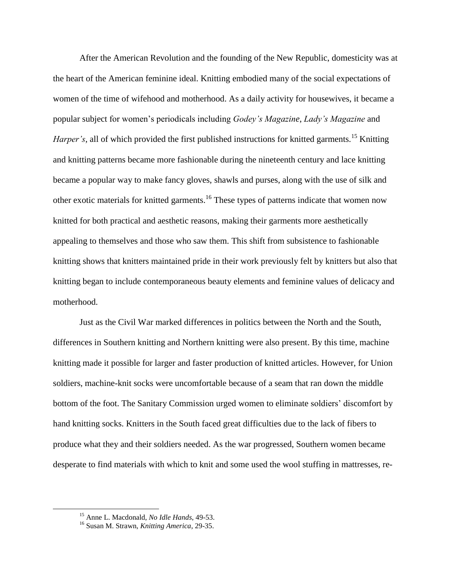After the American Revolution and the founding of the New Republic, domesticity was at the heart of the American feminine ideal. Knitting embodied many of the social expectations of women of the time of wifehood and motherhood. As a daily activity for housewives, it became a popular subject for women"s periodicals including *Godey's Magazine*, *Lady's Magazine* and *Harper's*, all of which provided the first published instructions for knitted garments.<sup>15</sup> Knitting and knitting patterns became more fashionable during the nineteenth century and lace knitting became a popular way to make fancy gloves, shawls and purses, along with the use of silk and other exotic materials for knitted garments.<sup>16</sup> These types of patterns indicate that women now knitted for both practical and aesthetic reasons, making their garments more aesthetically appealing to themselves and those who saw them. This shift from subsistence to fashionable knitting shows that knitters maintained pride in their work previously felt by knitters but also that knitting began to include contemporaneous beauty elements and feminine values of delicacy and motherhood.

Just as the Civil War marked differences in politics between the North and the South, differences in Southern knitting and Northern knitting were also present. By this time, machine knitting made it possible for larger and faster production of knitted articles. However, for Union soldiers, machine-knit socks were uncomfortable because of a seam that ran down the middle bottom of the foot. The Sanitary Commission urged women to eliminate soldiers' discomfort by hand knitting socks. Knitters in the South faced great difficulties due to the lack of fibers to produce what they and their soldiers needed. As the war progressed, Southern women became desperate to find materials with which to knit and some used the wool stuffing in mattresses, re-

<sup>15</sup> Anne L. Macdonald, *No Idle Hands*, 49-53.

<sup>16</sup> Susan M. Strawn, *Knitting America*, 29-35.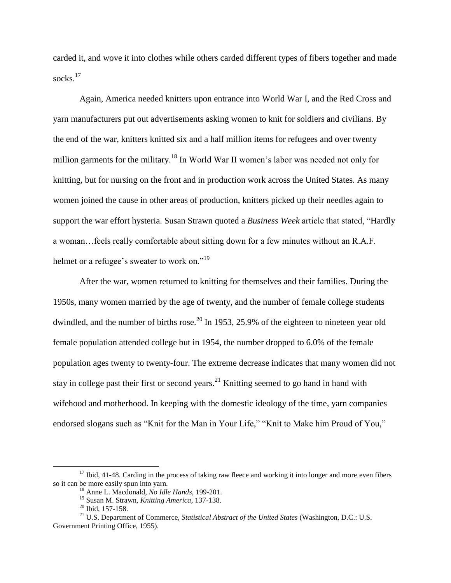carded it, and wove it into clothes while others carded different types of fibers together and made socks.<sup>17</sup>

Again, America needed knitters upon entrance into World War I, and the Red Cross and yarn manufacturers put out advertisements asking women to knit for soldiers and civilians. By the end of the war, knitters knitted six and a half million items for refugees and over twenty million garments for the military.<sup>18</sup> In World War II women's labor was needed not only for knitting, but for nursing on the front and in production work across the United States. As many women joined the cause in other areas of production, knitters picked up their needles again to support the war effort hysteria. Susan Strawn quoted a *Business Week* article that stated, "Hardly a woman…feels really comfortable about sitting down for a few minutes without an R.A.F. helmet or a refugee's sweater to work on."<sup>19</sup>

After the war, women returned to knitting for themselves and their families. During the 1950s, many women married by the age of twenty, and the number of female college students dwindled, and the number of births rose.<sup>20</sup> In 1953, 25.9% of the eighteen to nineteen year old female population attended college but in 1954, the number dropped to 6.0% of the female population ages twenty to twenty-four. The extreme decrease indicates that many women did not stay in college past their first or second years.<sup>21</sup> Knitting seemed to go hand in hand with wifehood and motherhood. In keeping with the domestic ideology of the time, yarn companies endorsed slogans such as "Knit for the Man in Your Life," "Knit to Make him Proud of You,"

 $17$  Ibid, 41-48. Carding in the process of taking raw fleece and working it into longer and more even fibers so it can be more easily spun into yarn.

<sup>18</sup> Anne L. Macdonald, *No Idle Hands*, 199-201.

<sup>19</sup> Susan M. Strawn, *Knitting America*, 137-138.

<sup>20</sup> Ibid, 157-158.

<sup>21</sup> U.S. Department of Commerce, *Statistical Abstract of the United States* (Washington, D.C.: U.S. Government Printing Office, 1955).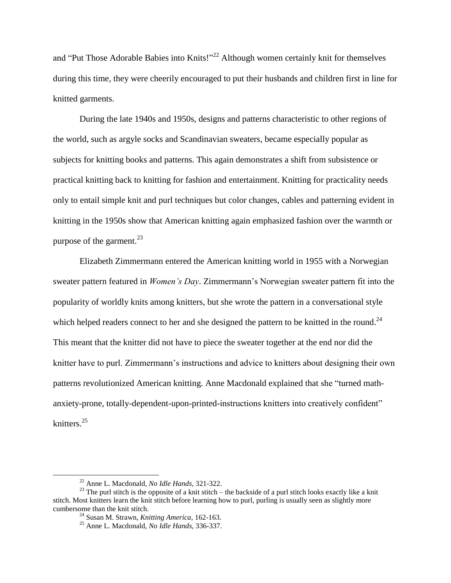and "Put Those Adorable Babies into Knits!"<sup>22</sup> Although women certainly knit for themselves during this time, they were cheerily encouraged to put their husbands and children first in line for knitted garments.

During the late 1940s and 1950s, designs and patterns characteristic to other regions of the world, such as argyle socks and Scandinavian sweaters, became especially popular as subjects for knitting books and patterns. This again demonstrates a shift from subsistence or practical knitting back to knitting for fashion and entertainment. Knitting for practicality needs only to entail simple knit and purl techniques but color changes, cables and patterning evident in knitting in the 1950s show that American knitting again emphasized fashion over the warmth or purpose of the garment. $^{23}$ 

Elizabeth Zimmermann entered the American knitting world in 1955 with a Norwegian sweater pattern featured in *Women's Day*. Zimmermann"s Norwegian sweater pattern fit into the popularity of worldly knits among knitters, but she wrote the pattern in a conversational style which helped readers connect to her and she designed the pattern to be knitted in the round.<sup>24</sup> This meant that the knitter did not have to piece the sweater together at the end nor did the knitter have to purl. Zimmermann"s instructions and advice to knitters about designing their own patterns revolutionized American knitting. Anne Macdonald explained that she "turned mathanxiety-prone, totally-dependent-upon-printed-instructions knitters into creatively confident" knitters.<sup>25</sup>

<sup>22</sup> Anne L. Macdonald, *No Idle Hands*, 321-322.

 $^{23}$  The purl stitch is the opposite of a knit stitch – the backside of a purl stitch looks exactly like a knit stitch. Most knitters learn the knit stitch before learning how to purl, purling is usually seen as slightly more cumbersome than the knit stitch.

<sup>24</sup> Susan M. Strawn, *Knitting America*, 162-163.

<sup>25</sup> Anne L. Macdonald, *No Idle Hands*, 336-337.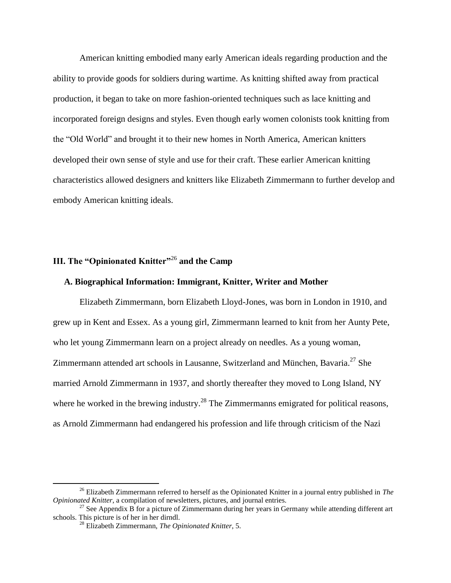American knitting embodied many early American ideals regarding production and the ability to provide goods for soldiers during wartime. As knitting shifted away from practical production, it began to take on more fashion-oriented techniques such as lace knitting and incorporated foreign designs and styles. Even though early women colonists took knitting from the "Old World" and brought it to their new homes in North America, American knitters developed their own sense of style and use for their craft. These earlier American knitting characteristics allowed designers and knitters like Elizabeth Zimmermann to further develop and embody American knitting ideals.

# **III. The "Opinionated Knitter"** <sup>26</sup> **and the Camp**

#### **A. Biographical Information: Immigrant, Knitter, Writer and Mother**

Elizabeth Zimmermann, born Elizabeth Lloyd-Jones, was born in London in 1910, and grew up in Kent and Essex. As a young girl, Zimmermann learned to knit from her Aunty Pete, who let young Zimmermann learn on a project already on needles. As a young woman, Zimmermann attended art schools in Lausanne, Switzerland and München, Bavaria.<sup>27</sup> She married Arnold Zimmermann in 1937, and shortly thereafter they moved to Long Island, NY where he worked in the brewing industry.<sup>28</sup> The Zimmermanns emigrated for political reasons, as Arnold Zimmermann had endangered his profession and life through criticism of the Nazi

<sup>26</sup> Elizabeth Zimmermann referred to herself as the Opinionated Knitter in a journal entry published in *The Opinionated Knitter*, a compilation of newsletters, pictures, and journal entries.

<sup>&</sup>lt;sup>27</sup> See Appendix B for a picture of Zimmermann during her years in Germany while attending different art schools. This picture is of her in her dirndl.

<sup>28</sup> Elizabeth Zimmermann, *The Opinionated Knitter*, 5.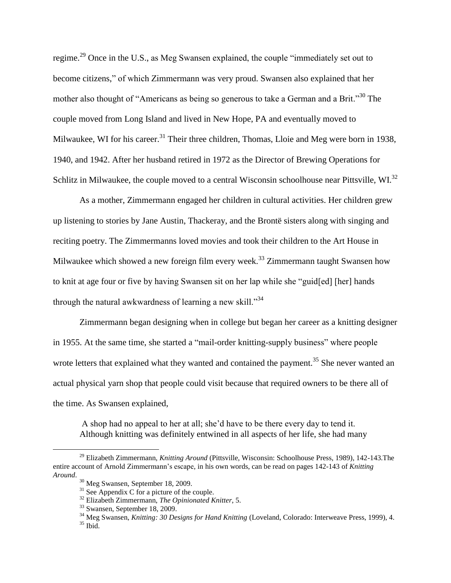regime.<sup>29</sup> Once in the U.S., as Meg Swansen explained, the couple "immediately set out to become citizens," of which Zimmermann was very proud. Swansen also explained that her mother also thought of "Americans as being so generous to take a German and a Brit."<sup>30</sup> The couple moved from Long Island and lived in New Hope, PA and eventually moved to Milwaukee, WI for his career.<sup>31</sup> Their three children, Thomas, Lloie and Meg were born in 1938, 1940, and 1942. After her husband retired in 1972 as the Director of Brewing Operations for Schlitz in Milwaukee, the couple moved to a central Wisconsin schoolhouse near Pittsville, WI.<sup>32</sup>

As a mother, Zimmermann engaged her children in cultural activities. Her children grew up listening to stories by Jane Austin, Thackeray, and the Brontë sisters along with singing and reciting poetry. The Zimmermanns loved movies and took their children to the Art House in Milwaukee which showed a new foreign film every week.<sup>33</sup> Zimmermann taught Swansen how to knit at age four or five by having Swansen sit on her lap while she "guid[ed] [her] hands through the natural awkwardness of learning a new skill." $34$ 

Zimmermann began designing when in college but began her career as a knitting designer in 1955. At the same time, she started a "mail-order knitting-supply business" where people wrote letters that explained what they wanted and contained the payment.<sup>35</sup> She never wanted an actual physical yarn shop that people could visit because that required owners to be there all of the time. As Swansen explained,

A shop had no appeal to her at all; she"d have to be there every day to tend it. Although knitting was definitely entwined in all aspects of her life, she had many

<sup>29</sup> Elizabeth Zimmermann, *Knitting Around* (Pittsville, Wisconsin: Schoolhouse Press, 1989), 142-143.The entire account of Arnold Zimmermann"s escape, in his own words, can be read on pages 142-143 of *Knitting Around*.

<sup>30</sup> Meg Swansen, September 18, 2009.

 $31$  See Appendix C for a picture of the couple.

<sup>32</sup> Elizabeth Zimmermann, *The Opinionated Knitter*, 5.

<sup>&</sup>lt;sup>33</sup> Swansen, September 18, 2009.

<sup>34</sup> Meg Swansen, *Knitting: 30 Designs for Hand Knitting* (Loveland, Colorado: Interweave Press, 1999), 4.  $35$  Ibid.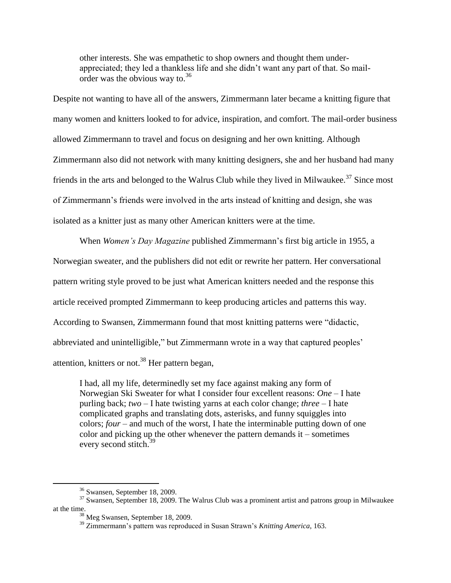other interests. She was empathetic to shop owners and thought them underappreciated; they led a thankless life and she didn"t want any part of that. So mailorder was the obvious way to.<sup>36</sup>

Despite not wanting to have all of the answers, Zimmermann later became a knitting figure that many women and knitters looked to for advice, inspiration, and comfort. The mail-order business allowed Zimmermann to travel and focus on designing and her own knitting. Although Zimmermann also did not network with many knitting designers, she and her husband had many friends in the arts and belonged to the Walrus Club while they lived in Milwaukee.<sup>37</sup> Since most of Zimmermann"s friends were involved in the arts instead of knitting and design, she was isolated as a knitter just as many other American knitters were at the time.

When *Women's Day Magazine* published Zimmermann"s first big article in 1955, a Norwegian sweater, and the publishers did not edit or rewrite her pattern. Her conversational pattern writing style proved to be just what American knitters needed and the response this article received prompted Zimmermann to keep producing articles and patterns this way. According to Swansen, Zimmermann found that most knitting patterns were "didactic, abbreviated and unintelligible," but Zimmermann wrote in a way that captured peoples" attention, knitters or not.<sup>38</sup> Her pattern began,

I had, all my life, determinedly set my face against making any form of Norwegian Ski Sweater for what I consider four excellent reasons: *One* – I hate purling back; *two* – I hate twisting yarns at each color change; *three* – I hate complicated graphs and translating dots, asterisks, and funny squiggles into colors; *four* – and much of the worst, I hate the interminable putting down of one color and picking up the other whenever the pattern demands it – sometimes every second stitch.<sup>39</sup>

<sup>36</sup> Swansen, September 18, 2009.

 $37$  Swansen, September 18, 2009. The Walrus Club was a prominent artist and patrons group in Milwaukee at the time.

<sup>&</sup>lt;sup>38</sup> Meg Swansen, September 18, 2009.

<sup>39</sup> Zimmermann"s pattern was reproduced in Susan Strawn"s *Knitting America*, 163.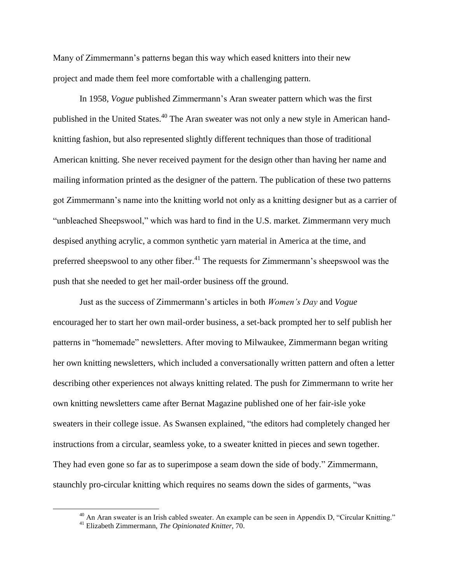Many of Zimmermann"s patterns began this way which eased knitters into their new project and made them feel more comfortable with a challenging pattern.

In 1958, *Vogue* published Zimmermann"s Aran sweater pattern which was the first published in the United States.<sup>40</sup> The Aran sweater was not only a new style in American handknitting fashion, but also represented slightly different techniques than those of traditional American knitting. She never received payment for the design other than having her name and mailing information printed as the designer of the pattern. The publication of these two patterns got Zimmermann"s name into the knitting world not only as a knitting designer but as a carrier of "unbleached Sheepswool," which was hard to find in the U.S. market. Zimmermann very much despised anything acrylic, a common synthetic yarn material in America at the time, and preferred sheepswool to any other fiber.<sup>41</sup> The requests for Zimmermann's sheepswool was the push that she needed to get her mail-order business off the ground.

Just as the success of Zimmermann"s articles in both *Women's Day* and *Vogue* encouraged her to start her own mail-order business, a set-back prompted her to self publish her patterns in "homemade" newsletters. After moving to Milwaukee, Zimmermann began writing her own knitting newsletters, which included a conversationally written pattern and often a letter describing other experiences not always knitting related. The push for Zimmermann to write her own knitting newsletters came after Bernat Magazine published one of her fair-isle yoke sweaters in their college issue. As Swansen explained, "the editors had completely changed her instructions from a circular, seamless yoke, to a sweater knitted in pieces and sewn together. They had even gone so far as to superimpose a seam down the side of body." Zimmermann, staunchly pro-circular knitting which requires no seams down the sides of garments, "was

 $40$  An Aran sweater is an Irish cabled sweater. An example can be seen in Appendix D, "Circular Knitting."

<sup>41</sup> Elizabeth Zimmermann, *The Opinionated Knitter*, 70.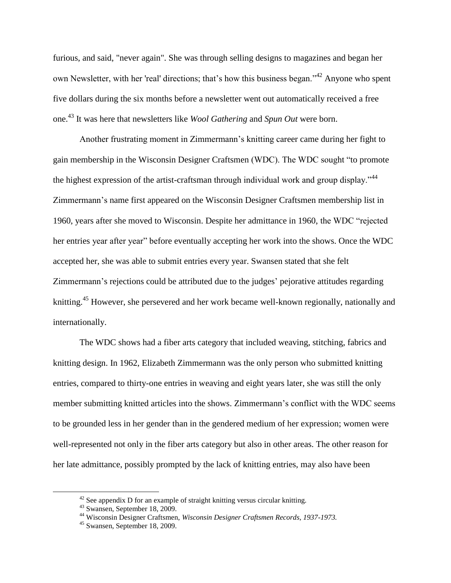furious, and said, "never again". She was through selling designs to magazines and began her own Newsletter, with her 'real' directions; that's how this business began."<sup>42</sup> Anyone who spent five dollars during the six months before a newsletter went out automatically received a free one.<sup>43</sup> It was here that newsletters like *Wool Gathering* and *Spun Out* were born.

Another frustrating moment in Zimmermann"s knitting career came during her fight to gain membership in the Wisconsin Designer Craftsmen (WDC). The WDC sought "to promote the highest expression of the artist-craftsman through individual work and group display."<sup>44</sup> Zimmermann"s name first appeared on the Wisconsin Designer Craftsmen membership list in 1960, years after she moved to Wisconsin. Despite her admittance in 1960, the WDC "rejected her entries year after year" before eventually accepting her work into the shows. Once the WDC accepted her, she was able to submit entries every year. Swansen stated that she felt Zimmermann's rejections could be attributed due to the judges' pejorative attitudes regarding knitting.<sup>45</sup> However, she persevered and her work became well-known regionally, nationally and internationally.

The WDC shows had a fiber arts category that included weaving, stitching, fabrics and knitting design. In 1962, Elizabeth Zimmermann was the only person who submitted knitting entries, compared to thirty-one entries in weaving and eight years later, she was still the only member submitting knitted articles into the shows. Zimmermann"s conflict with the WDC seems to be grounded less in her gender than in the gendered medium of her expression; women were well-represented not only in the fiber arts category but also in other areas. The other reason for her late admittance, possibly prompted by the lack of knitting entries, may also have been

 $42$  See appendix D for an example of straight knitting versus circular knitting.

 $43$  Swansen, September 18, 2009.

<sup>44</sup> Wisconsin Designer Craftsmen, *Wisconsin Designer Craftsmen Records, 1937-1973.*

<sup>45</sup> Swansen, September 18, 2009.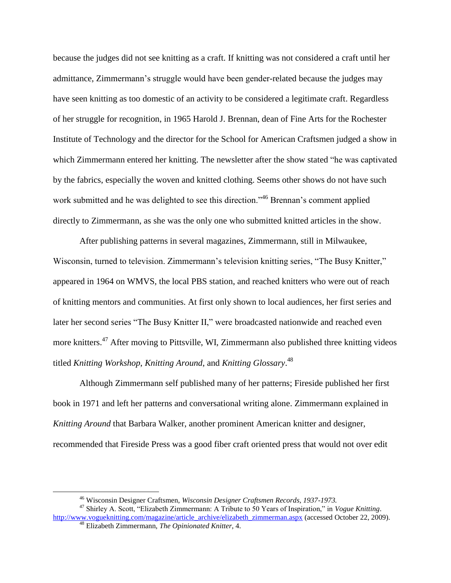because the judges did not see knitting as a craft. If knitting was not considered a craft until her admittance, Zimmermann"s struggle would have been gender-related because the judges may have seen knitting as too domestic of an activity to be considered a legitimate craft. Regardless of her struggle for recognition, in 1965 Harold J. Brennan, dean of Fine Arts for the Rochester Institute of Technology and the director for the School for American Craftsmen judged a show in which Zimmermann entered her knitting. The newsletter after the show stated "he was captivated by the fabrics, especially the woven and knitted clothing. Seems other shows do not have such work submitted and he was delighted to see this direction."<sup>46</sup> Brennan's comment applied directly to Zimmermann, as she was the only one who submitted knitted articles in the show.

After publishing patterns in several magazines, Zimmermann, still in Milwaukee, Wisconsin, turned to television. Zimmermann's television knitting series, "The Busy Knitter," appeared in 1964 on WMVS, the local PBS station, and reached knitters who were out of reach of knitting mentors and communities. At first only shown to local audiences, her first series and later her second series "The Busy Knitter II," were broadcasted nationwide and reached even more knitters.<sup>47</sup> After moving to Pittsville, WI, Zimmermann also published three knitting videos titled *Knitting Workshop*, *Knitting Around*, and *Knitting Glossary*. 48

Although Zimmermann self published many of her patterns; Fireside published her first book in 1971 and left her patterns and conversational writing alone. Zimmermann explained in *Knitting Around* that Barbara Walker, another prominent American knitter and designer, recommended that Fireside Press was a good fiber craft oriented press that would not over edit

<sup>46</sup> Wisconsin Designer Craftsmen, *Wisconsin Designer Craftsmen Records, 1937-1973.* 

<sup>47</sup> Shirley A. Scott, "Elizabeth Zimmermann: A Tribute to 50 Years of Inspiration," in *Vogue Knitting*. [http://www.vogueknitting.com/magazine/article\\_archive/elizabeth\\_zimmerman.aspx](http://www.vogueknitting.com/magazine/article_archive/elizabeth_zimmerman.aspx) (accessed October 22, 2009).

<sup>48</sup> Elizabeth Zimmermann, *The Opinionated Knitter*, 4.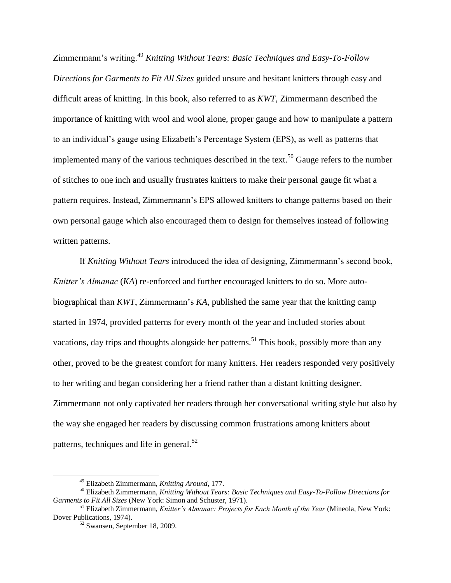Zimmermann"s writing.<sup>49</sup> *Knitting Without Tears: Basic Techniques and Easy-To-Follow Directions for Garments to Fit All Sizes* guided unsure and hesitant knitters through easy and difficult areas of knitting. In this book, also referred to as *KWT*, Zimmermann described the importance of knitting with wool and wool alone, proper gauge and how to manipulate a pattern to an individual"s gauge using Elizabeth"s Percentage System (EPS), as well as patterns that implemented many of the various techniques described in the text.<sup>50</sup> Gauge refers to the number of stitches to one inch and usually frustrates knitters to make their personal gauge fit what a pattern requires. Instead, Zimmermann's EPS allowed knitters to change patterns based on their own personal gauge which also encouraged them to design for themselves instead of following written patterns.

If *Knitting Without Tears* introduced the idea of designing, Zimmermann"s second book, *Knitter's Almanac* (*KA*) re-enforced and further encouraged knitters to do so. More autobiographical than *KWT*, Zimmermann's *KA*, published the same year that the knitting camp started in 1974, provided patterns for every month of the year and included stories about vacations, day trips and thoughts alongside her patterns.<sup>51</sup> This book, possibly more than any other, proved to be the greatest comfort for many knitters. Her readers responded very positively to her writing and began considering her a friend rather than a distant knitting designer. Zimmermann not only captivated her readers through her conversational writing style but also by the way she engaged her readers by discussing common frustrations among knitters about patterns, techniques and life in general.<sup>52</sup>

<sup>49</sup> Elizabeth Zimmermann, *Knitting Around*, 177.

<sup>50</sup> Elizabeth Zimmermann, *Knitting Without Tears: Basic Techniques and Easy-To-Follow Directions for Garments to Fit All Sizes* (New York: Simon and Schuster, 1971).

<sup>51</sup> Elizabeth Zimmermann, *Knitter's Almanac: Projects for Each Month of the Year* (Mineola, New York: Dover Publications, 1974).

<sup>52</sup> Swansen, September 18, 2009.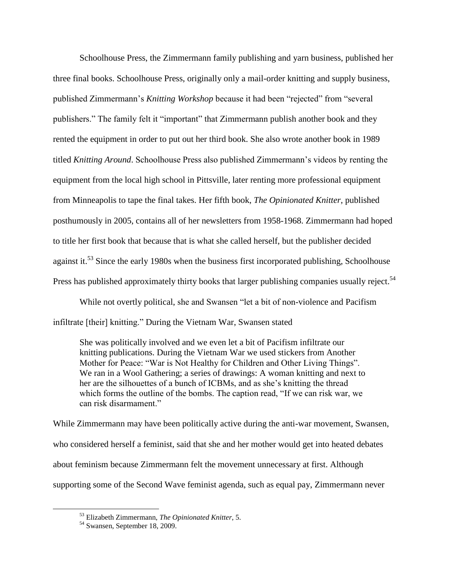Schoolhouse Press, the Zimmermann family publishing and yarn business, published her three final books. Schoolhouse Press, originally only a mail-order knitting and supply business, published Zimmermann"s *Knitting Workshop* because it had been "rejected" from "several publishers." The family felt it "important" that Zimmermann publish another book and they rented the equipment in order to put out her third book. She also wrote another book in 1989 titled *Knitting Around*. Schoolhouse Press also published Zimmermann"s videos by renting the equipment from the local high school in Pittsville, later renting more professional equipment from Minneapolis to tape the final takes. Her fifth book, *The Opinionated Knitter*, published posthumously in 2005, contains all of her newsletters from 1958-1968. Zimmermann had hoped to title her first book that because that is what she called herself, but the publisher decided against it.<sup>53</sup> Since the early 1980s when the business first incorporated publishing, Schoolhouse Press has published approximately thirty books that larger publishing companies usually reject.<sup>54</sup>

While not overtly political, she and Swansen "let a bit of non-violence and Pacifism infiltrate [their] knitting." During the Vietnam War, Swansen stated

She was politically involved and we even let a bit of Pacifism infiltrate our knitting publications. During the Vietnam War we used stickers from Another Mother for Peace: "War is Not Healthy for Children and Other Living Things". We ran in a Wool Gathering; a series of drawings: A woman knitting and next to her are the silhouettes of a bunch of ICBMs, and as she's knitting the thread which forms the outline of the bombs. The caption read, "If we can risk war, we can risk disarmament."

While Zimmermann may have been politically active during the anti-war movement, Swansen, who considered herself a feminist, said that she and her mother would get into heated debates about feminism because Zimmermann felt the movement unnecessary at first. Although supporting some of the Second Wave feminist agenda, such as equal pay, Zimmermann never

<sup>53</sup> Elizabeth Zimmermann, *The Opinionated Knitter*, 5.

<sup>54</sup> Swansen, September 18, 2009.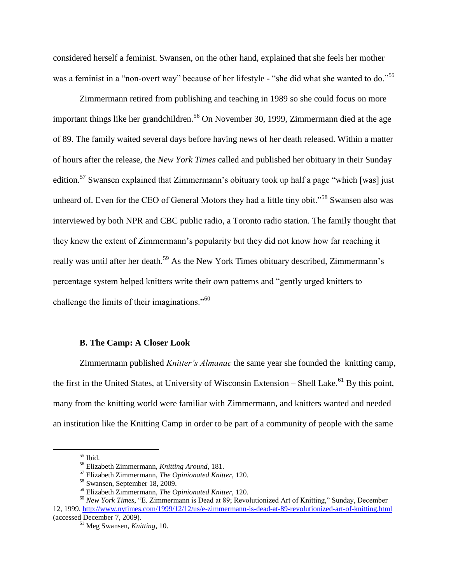considered herself a feminist. Swansen, on the other hand, explained that she feels her mother was a feminist in a "non-overt way" because of her lifestyle - "she did what she wanted to do."<sup>55</sup>

Zimmermann retired from publishing and teaching in 1989 so she could focus on more important things like her grandchildren.<sup>56</sup> On November 30, 1999, Zimmermann died at the age of 89. The family waited several days before having news of her death released. Within a matter of hours after the release, the *New York Times* called and published her obituary in their Sunday edition.<sup>57</sup> Swansen explained that Zimmermann's obituary took up half a page "which [was] just unheard of. Even for the CEO of General Motors they had a little tiny obit."<sup>58</sup> Swansen also was interviewed by both NPR and CBC public radio, a Toronto radio station. The family thought that they knew the extent of Zimmermann"s popularity but they did not know how far reaching it really was until after her death.<sup>59</sup> As the New York Times obituary described, Zimmermann's percentage system helped knitters write their own patterns and "gently urged knitters to challenge the limits of their imaginations."<sup>60</sup>

#### **B. The Camp: A Closer Look**

Zimmermann published *Knitter's Almanac* the same year she founded the knitting camp, the first in the United States, at University of Wisconsin Extension – Shell Lake.<sup>61</sup> By this point, many from the knitting world were familiar with Zimmermann, and knitters wanted and needed an institution like the Knitting Camp in order to be part of a community of people with the same

<sup>55</sup> Ibid.

<sup>56</sup> Elizabeth Zimmermann, *Knitting Around*, 181.

<sup>57</sup> Elizabeth Zimmermann, *The Opinionated Knitter*, 120.

<sup>58</sup> Swansen, September 18, 2009.

<sup>59</sup> Elizabeth Zimmermann, *The Opinionated Knitter*, 120.

<sup>60</sup> *New York Times*, "E. Zimmermann is Dead at 89; Revolutionized Art of Knitting," Sunday, December 12, 1999.<http://www.nytimes.com/1999/12/12/us/e-zimmermann-is-dead-at-89-revolutionized-art-of-knitting.html> (accessed December 7, 2009).

<sup>61</sup> Meg Swansen, *Knitting*, 10.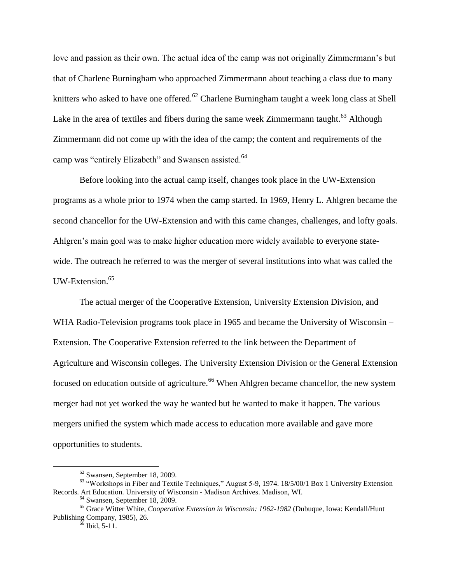love and passion as their own. The actual idea of the camp was not originally Zimmermann's but that of Charlene Burningham who approached Zimmermann about teaching a class due to many knitters who asked to have one offered.<sup>62</sup> Charlene Burningham taught a week long class at Shell Lake in the area of textiles and fibers during the same week Zimmermann taught.<sup>63</sup> Although Zimmermann did not come up with the idea of the camp; the content and requirements of the camp was "entirely Elizabeth" and Swansen assisted.<sup>64</sup>

Before looking into the actual camp itself, changes took place in the UW-Extension programs as a whole prior to 1974 when the camp started. In 1969, Henry L. Ahlgren became the second chancellor for the UW-Extension and with this came changes, challenges, and lofty goals. Ahlgren"s main goal was to make higher education more widely available to everyone statewide. The outreach he referred to was the merger of several institutions into what was called the UW-Extension. $65$ 

The actual merger of the Cooperative Extension, University Extension Division, and WHA Radio-Television programs took place in 1965 and became the University of Wisconsin – Extension. The Cooperative Extension referred to the link between the Department of Agriculture and Wisconsin colleges. The University Extension Division or the General Extension focused on education outside of agriculture.<sup>66</sup> When Ahlgren became chancellor, the new system merger had not yet worked the way he wanted but he wanted to make it happen. The various mergers unified the system which made access to education more available and gave more opportunities to students.

<sup>62</sup> Swansen, September 18, 2009.

<sup>63</sup> "Workshops in Fiber and Textile Techniques," August 5-9, 1974. 18/5/00/1 Box 1 University Extension Records. Art Education. University of Wisconsin - Madison Archives. Madison, WI.

<sup>64</sup> Swansen, September 18, 2009.

<sup>65</sup> Grace Witter White, *Cooperative Extension in Wisconsin: 1962-1982* (Dubuque, Iowa: Kendall/Hunt Publishing Company, 1985), 26.

 $66$  Ibid, 5-11.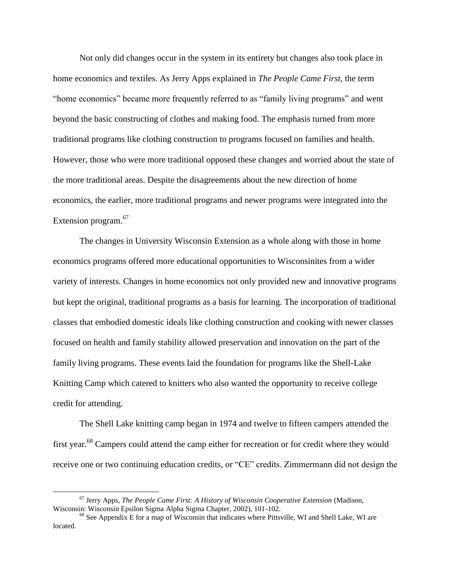Not only did changes occur in the system in its entirety but changes also took place in home economics and textiles. As Jerry Apps explained in *The People Came First*, the term "home economics" became more frequently referred to as "family living programs" and went beyond the basic constructing of clothes and making food. The emphasis turned from more traditional programs like clothing construction to programs focused on families and health. However, those who were more traditional opposed these changes and worried about the state of the more traditional areas. Despite the disagreements about the new direction of home economics, the earlier, more traditional programs and newer programs were integrated into the Extension program.<sup>67</sup>

The changes in University Wisconsin Extension as a whole along with those in home economics programs offered more educational opportunities to Wisconsinites from a wider variety of interests. Changes in home economics not only provided new and innovative programs but kept the original, traditional programs as a basis for learning. The incorporation of traditional classes that embodied domestic ideals like clothing construction and cooking with newer classes focused on health and family stability allowed preservation and innovation on the part of the family living programs. These events laid the foundation for programs like the Shell-Lake Knitting Camp which catered to knitters who also wanted the opportunity to receive college credit for attending.

The Shell Lake knitting camp began in 1974 and twelve to fifteen campers attended the first year.<sup>68</sup> Campers could attend the camp either for recreation or for credit where they would receive one or two continuing education credits, or "CE" credits. Zimmermann did not design the

<sup>67</sup> Jerry Apps, *The People Came First: A History of Wisconsin Cooperative Extension* (Madison, Wisconsin: Wisconsin Epsilon Sigma Alpha Sigma Chapter, 2002), 101-102.

<sup>&</sup>lt;sup>68</sup> See Appendix E for a map of Wisconsin that indicates where Pittsville, WI and Shell Lake, WI are located.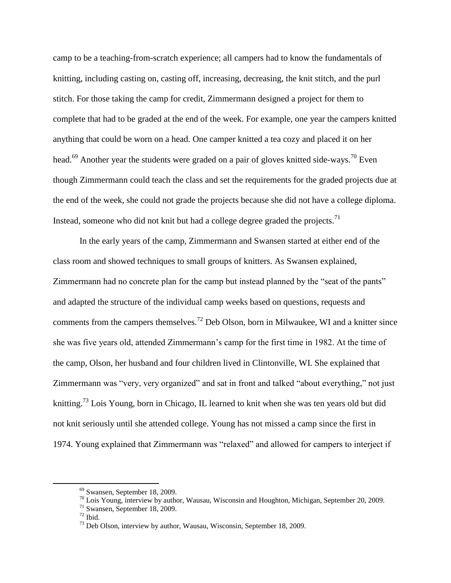camp to be a teaching-from-scratch experience; all campers had to know the fundamentals of knitting, including casting on, casting off, increasing, decreasing, the knit stitch, and the purl stitch. For those taking the camp for credit, Zimmermann designed a project for them to complete that had to be graded at the end of the week. For example, one year the campers knitted anything that could be worn on a head. One camper knitted a tea cozy and placed it on her head.<sup>69</sup> Another year the students were graded on a pair of gloves knitted side-ways.<sup>70</sup> Even though Zimmermann could teach the class and set the requirements for the graded projects due at the end of the week, she could not grade the projects because she did not have a college diploma. Instead, someone who did not knit but had a college degree graded the projects.<sup>71</sup>

In the early years of the camp, Zimmermann and Swansen started at either end of the class room and showed techniques to small groups of knitters. As Swansen explained, Zimmermann had no concrete plan for the camp but instead planned by the "seat of the pants" and adapted the structure of the individual camp weeks based on questions, requests and comments from the campers themselves.<sup>72</sup> Deb Olson, born in Milwaukee, WI and a knitter since she was five years old, attended Zimmermann"s camp for the first time in 1982. At the time of the camp, Olson, her husband and four children lived in Clintonville, WI. She explained that Zimmermann was "very, very organized" and sat in front and talked "about everything," not just knitting.<sup>73</sup> Lois Young, born in Chicago, IL learned to knit when she was ten years old but did not knit seriously until she attended college. Young has not missed a camp since the first in 1974. Young explained that Zimmermann was "relaxed" and allowed for campers to interject if

<sup>69</sup> Swansen, September 18, 2009.

 $70$  Lois Young, interview by author, Wausau, Wisconsin and Houghton, Michigan, September 20, 2009.

<sup>71</sup> Swansen, September 18, 2009.

 $72$  Ibid.

 $^{73}$  Deb Olson, interview by author, Wausau, Wisconsin, September 18, 2009.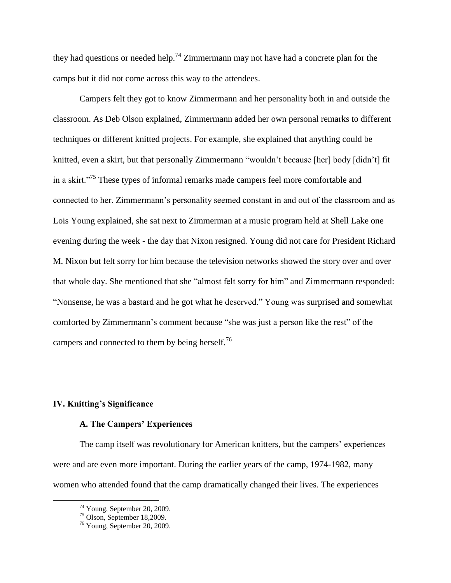they had questions or needed help.<sup>74</sup> Zimmermann may not have had a concrete plan for the camps but it did not come across this way to the attendees.

Campers felt they got to know Zimmermann and her personality both in and outside the classroom. As Deb Olson explained, Zimmermann added her own personal remarks to different techniques or different knitted projects. For example, she explained that anything could be knitted, even a skirt, but that personally Zimmermann "wouldn"t because [her] body [didn"t] fit in a skirt."<sup>75</sup> These types of informal remarks made campers feel more comfortable and connected to her. Zimmermann"s personality seemed constant in and out of the classroom and as Lois Young explained, she sat next to Zimmerman at a music program held at Shell Lake one evening during the week - the day that Nixon resigned. Young did not care for President Richard M. Nixon but felt sorry for him because the television networks showed the story over and over that whole day. She mentioned that she "almost felt sorry for him" and Zimmermann responded: "Nonsense, he was a bastard and he got what he deserved." Young was surprised and somewhat comforted by Zimmermann"s comment because "she was just a person like the rest" of the campers and connected to them by being herself.<sup>76</sup>

## **IV. Knitting's Significance**

 $\overline{a}$ 

## **A. The Campers' Experiences**

The camp itself was revolutionary for American knitters, but the campers' experiences were and are even more important. During the earlier years of the camp, 1974-1982, many women who attended found that the camp dramatically changed their lives. The experiences

 $74$  Young, September 20, 2009.

<sup>75</sup> Olson, September 18,2009.

<sup>76</sup> Young, September 20, 2009.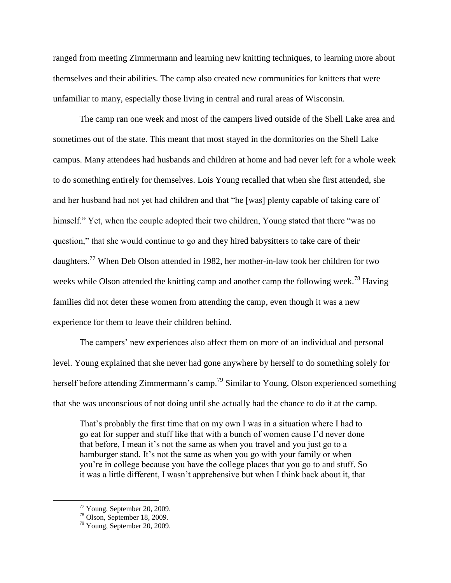ranged from meeting Zimmermann and learning new knitting techniques, to learning more about themselves and their abilities. The camp also created new communities for knitters that were unfamiliar to many, especially those living in central and rural areas of Wisconsin.

The camp ran one week and most of the campers lived outside of the Shell Lake area and sometimes out of the state. This meant that most stayed in the dormitories on the Shell Lake campus. Many attendees had husbands and children at home and had never left for a whole week to do something entirely for themselves. Lois Young recalled that when she first attended, she and her husband had not yet had children and that "he [was] plenty capable of taking care of himself." Yet, when the couple adopted their two children, Young stated that there "was no question," that she would continue to go and they hired babysitters to take care of their daughters.<sup>77</sup> When Deb Olson attended in 1982, her mother-in-law took her children for two weeks while Olson attended the knitting camp and another camp the following week.<sup>78</sup> Having families did not deter these women from attending the camp, even though it was a new experience for them to leave their children behind.

The campers' new experiences also affect them on more of an individual and personal level. Young explained that she never had gone anywhere by herself to do something solely for herself before attending Zimmermann's camp.<sup>79</sup> Similar to Young, Olson experienced something that she was unconscious of not doing until she actually had the chance to do it at the camp.

That's probably the first time that on my own I was in a situation where I had to go eat for supper and stuff like that with a bunch of women cause I"d never done that before, I mean it's not the same as when you travel and you just go to a hamburger stand. It's not the same as when you go with your family or when you"re in college because you have the college places that you go to and stuff. So it was a little different, I wasn"t apprehensive but when I think back about it, that

<sup>77</sup> Young, September 20, 2009.

<sup>78</sup> Olson, September 18, 2009.

<sup>79</sup> Young, September 20, 2009.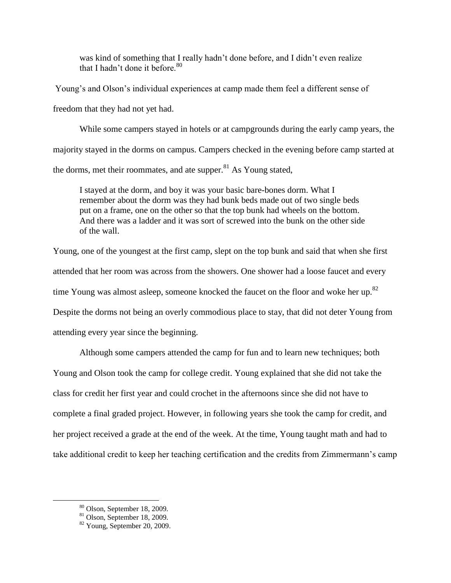was kind of something that I really hadn"t done before, and I didn"t even realize that I hadn't done it before.<sup>80</sup>

Young's and Olson's individual experiences at camp made them feel a different sense of freedom that they had not yet had.

While some campers stayed in hotels or at campgrounds during the early camp years, the majority stayed in the dorms on campus. Campers checked in the evening before camp started at the dorms, met their roommates, and ate supper.<sup>81</sup> As Young stated,

I stayed at the dorm, and boy it was your basic bare-bones dorm. What I remember about the dorm was they had bunk beds made out of two single beds put on a frame, one on the other so that the top bunk had wheels on the bottom. And there was a ladder and it was sort of screwed into the bunk on the other side of the wall.

Young, one of the youngest at the first camp, slept on the top bunk and said that when she first attended that her room was across from the showers. One shower had a loose faucet and every time Young was almost asleep, someone knocked the faucet on the floor and woke her up.<sup>82</sup> Despite the dorms not being an overly commodious place to stay, that did not deter Young from attending every year since the beginning.

Although some campers attended the camp for fun and to learn new techniques; both Young and Olson took the camp for college credit. Young explained that she did not take the class for credit her first year and could crochet in the afternoons since she did not have to complete a final graded project. However, in following years she took the camp for credit, and her project received a grade at the end of the week. At the time, Young taught math and had to take additional credit to keep her teaching certification and the credits from Zimmermann"s camp

<sup>80</sup> Olson, September 18, 2009.

<sup>81</sup> Olson, September 18, 2009.

<sup>82</sup> Young, September 20, 2009.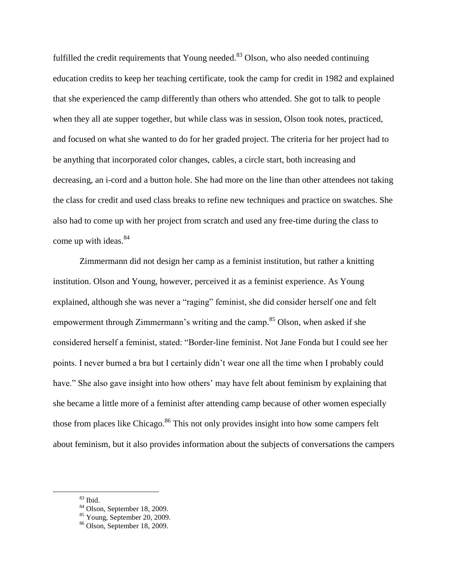fulfilled the credit requirements that Young needed.<sup>83</sup> Olson, who also needed continuing education credits to keep her teaching certificate, took the camp for credit in 1982 and explained that she experienced the camp differently than others who attended. She got to talk to people when they all ate supper together, but while class was in session, Olson took notes, practiced, and focused on what she wanted to do for her graded project. The criteria for her project had to be anything that incorporated color changes, cables, a circle start, both increasing and decreasing, an i-cord and a button hole. She had more on the line than other attendees not taking the class for credit and used class breaks to refine new techniques and practice on swatches. She also had to come up with her project from scratch and used any free-time during the class to come up with ideas.<sup>84</sup>

Zimmermann did not design her camp as a feminist institution, but rather a knitting institution. Olson and Young, however, perceived it as a feminist experience. As Young explained, although she was never a "raging" feminist, she did consider herself one and felt empowerment through Zimmermann's writing and the camp.<sup>85</sup> Olson, when asked if she considered herself a feminist, stated: "Border-line feminist. Not Jane Fonda but I could see her points. I never burned a bra but I certainly didn"t wear one all the time when I probably could have." She also gave insight into how others' may have felt about feminism by explaining that she became a little more of a feminist after attending camp because of other women especially those from places like Chicago.<sup>86</sup> This not only provides insight into how some campers felt about feminism, but it also provides information about the subjects of conversations the campers

 $83$  Ibid.

<sup>84</sup> Olson, September 18, 2009.

<sup>&</sup>lt;sup>85</sup> Young, September 20, 2009.

<sup>86</sup> Olson, September 18, 2009.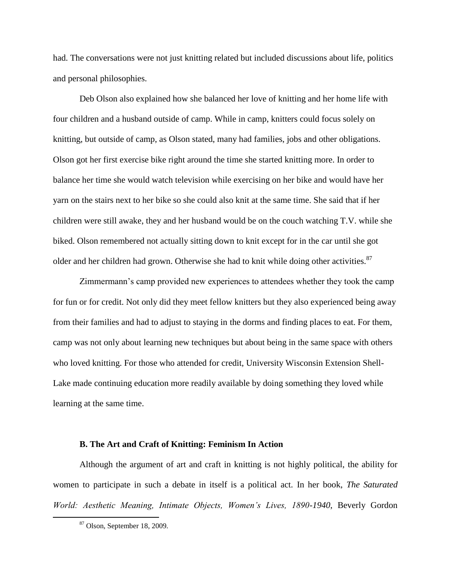had. The conversations were not just knitting related but included discussions about life, politics and personal philosophies.

Deb Olson also explained how she balanced her love of knitting and her home life with four children and a husband outside of camp. While in camp, knitters could focus solely on knitting, but outside of camp, as Olson stated, many had families, jobs and other obligations. Olson got her first exercise bike right around the time she started knitting more. In order to balance her time she would watch television while exercising on her bike and would have her yarn on the stairs next to her bike so she could also knit at the same time. She said that if her children were still awake, they and her husband would be on the couch watching T.V. while she biked. Olson remembered not actually sitting down to knit except for in the car until she got older and her children had grown. Otherwise she had to knit while doing other activities.<sup>87</sup>

Zimmermann"s camp provided new experiences to attendees whether they took the camp for fun or for credit. Not only did they meet fellow knitters but they also experienced being away from their families and had to adjust to staying in the dorms and finding places to eat. For them, camp was not only about learning new techniques but about being in the same space with others who loved knitting. For those who attended for credit, University Wisconsin Extension Shell-Lake made continuing education more readily available by doing something they loved while learning at the same time.

#### **B. The Art and Craft of Knitting: Feminism In Action**

Although the argument of art and craft in knitting is not highly political, the ability for women to participate in such a debate in itself is a political act. In her book, *The Saturated World: Aesthetic Meaning, Intimate Objects, Women's Lives, 1890-1940*, Beverly Gordon

<sup>87</sup> Olson, September 18, 2009.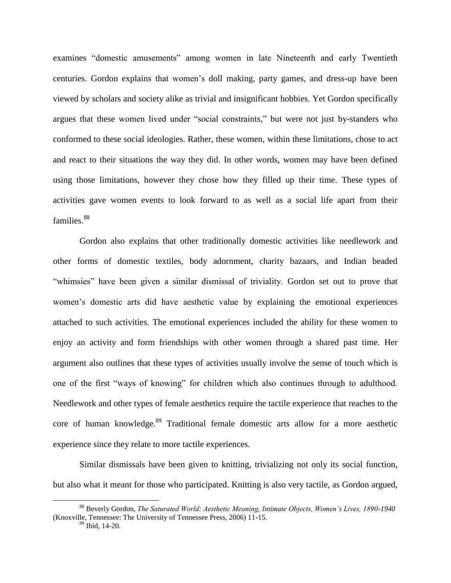examines "domestic amusements" among women in late Nineteenth and early Twentieth centuries. Gordon explains that women"s doll making, party games, and dress-up have been viewed by scholars and society alike as trivial and insignificant hobbies. Yet Gordon specifically argues that these women lived under "social constraints," but were not just by-standers who conformed to these social ideologies. Rather, these women, within these limitations, chose to act and react to their situations the way they did. In other words, women may have been defined using those limitations, however they chose how they filled up their time. These types of activities gave women events to look forward to as well as a social life apart from their families.<sup>88</sup>

Gordon also explains that other traditionally domestic activities like needlework and other forms of domestic textiles, body adornment, charity bazaars, and Indian beaded "whimsies" have been given a similar dismissal of triviality. Gordon set out to prove that women"s domestic arts did have aesthetic value by explaining the emotional experiences attached to such activities. The emotional experiences included the ability for these women to enjoy an activity and form friendships with other women through a shared past time. Her argument also outlines that these types of activities usually involve the sense of touch which is one of the first "ways of knowing" for children which also continues through to adulthood. Needlework and other types of female aesthetics require the tactile experience that reaches to the core of human knowledge.<sup>89</sup> Traditional female domestic arts allow for a more aesthetic experience since they relate to more tactile experiences.

Similar dismissals have been given to knitting, trivializing not only its social function, but also what it meant for those who participated. Knitting is also very tactile, as Gordon argued,

<sup>88</sup> Beverly Gordon, *The Saturated World: Aesthetic Meaning, Intimate Objects, Women's Lives, 1890-1940* (Knoxville, Tennessee: The University of Tennessee Press, 2006) 11-15.

<sup>89</sup> Ibid, 14-20.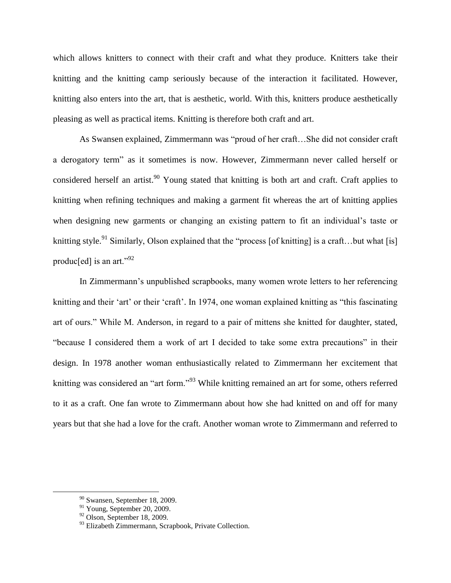which allows knitters to connect with their craft and what they produce. Knitters take their knitting and the knitting camp seriously because of the interaction it facilitated. However, knitting also enters into the art, that is aesthetic, world. With this, knitters produce aesthetically pleasing as well as practical items. Knitting is therefore both craft and art.

As Swansen explained, Zimmermann was "proud of her craft…She did not consider craft a derogatory term" as it sometimes is now. However, Zimmermann never called herself or considered herself an artist.<sup>90</sup> Young stated that knitting is both art and craft. Craft applies to knitting when refining techniques and making a garment fit whereas the art of knitting applies when designing new garments or changing an existing pattern to fit an individual's taste or knitting style.<sup>91</sup> Similarly, Olson explained that the "process [of knitting] is a craft...but what [is] produc $[ed]$  is an art."<sup>92</sup>

In Zimmermann"s unpublished scrapbooks, many women wrote letters to her referencing knitting and their 'art' or their 'craft'. In 1974, one woman explained knitting as "this fascinating" art of ours." While M. Anderson, in regard to a pair of mittens she knitted for daughter, stated, "because I considered them a work of art I decided to take some extra precautions" in their design. In 1978 another woman enthusiastically related to Zimmermann her excitement that knitting was considered an "art form."<sup>93</sup> While knitting remained an art for some, others referred to it as a craft. One fan wrote to Zimmermann about how she had knitted on and off for many years but that she had a love for the craft. Another woman wrote to Zimmermann and referred to

<sup>90</sup> Swansen, September 18, 2009.

<sup>&</sup>lt;sup>91</sup> Young, September 20, 2009.

<sup>&</sup>lt;sup>92</sup> Olson, September 18, 2009.

<sup>93</sup> Elizabeth Zimmermann, Scrapbook, Private Collection.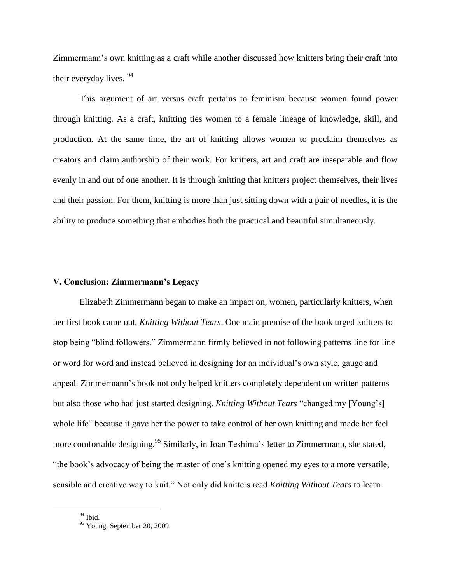Zimmermann"s own knitting as a craft while another discussed how knitters bring their craft into their everyday lives. <sup>94</sup>

This argument of art versus craft pertains to feminism because women found power through knitting. As a craft, knitting ties women to a female lineage of knowledge, skill, and production. At the same time, the art of knitting allows women to proclaim themselves as creators and claim authorship of their work. For knitters, art and craft are inseparable and flow evenly in and out of one another. It is through knitting that knitters project themselves, their lives and their passion. For them, knitting is more than just sitting down with a pair of needles, it is the ability to produce something that embodies both the practical and beautiful simultaneously.

#### **V. Conclusion: Zimmermann's Legacy**

Elizabeth Zimmermann began to make an impact on, women, particularly knitters, when her first book came out, *Knitting Without Tears*. One main premise of the book urged knitters to stop being "blind followers." Zimmermann firmly believed in not following patterns line for line or word for word and instead believed in designing for an individual"s own style, gauge and appeal. Zimmermann"s book not only helped knitters completely dependent on written patterns but also those who had just started designing. *Knitting Without Tears* "changed my [Young"s] whole life" because it gave her the power to take control of her own knitting and made her feel more comfortable designing.<sup>95</sup> Similarly, in Joan Teshima's letter to Zimmermann, she stated, "the book"s advocacy of being the master of one"s knitting opened my eyes to a more versatile, sensible and creative way to knit." Not only did knitters read *Knitting Without Tears* to learn

 $94$  Ibid.

<sup>&</sup>lt;sup>95</sup> Young, September 20, 2009.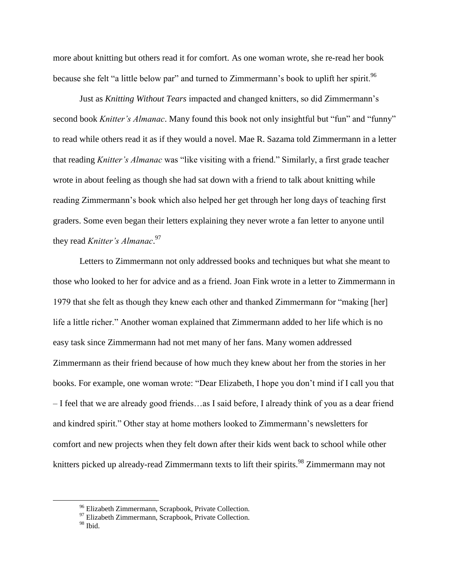more about knitting but others read it for comfort. As one woman wrote, she re-read her book because she felt "a little below par" and turned to Zimmermann's book to uplift her spirit.<sup>96</sup>

Just as *Knitting Without Tears* impacted and changed knitters, so did Zimmermann"s second book *Knitter's Almanac*. Many found this book not only insightful but "fun" and "funny" to read while others read it as if they would a novel. Mae R. Sazama told Zimmermann in a letter that reading *Knitter's Almanac* was "like visiting with a friend." Similarly, a first grade teacher wrote in about feeling as though she had sat down with a friend to talk about knitting while reading Zimmermann"s book which also helped her get through her long days of teaching first graders. Some even began their letters explaining they never wrote a fan letter to anyone until they read *Knitter's Almanac*. 97

Letters to Zimmermann not only addressed books and techniques but what she meant to those who looked to her for advice and as a friend. Joan Fink wrote in a letter to Zimmermann in 1979 that she felt as though they knew each other and thanked Zimmermann for "making [her] life a little richer." Another woman explained that Zimmermann added to her life which is no easy task since Zimmermann had not met many of her fans. Many women addressed Zimmermann as their friend because of how much they knew about her from the stories in her books. For example, one woman wrote: "Dear Elizabeth, I hope you don"t mind if I call you that – I feel that we are already good friends…as I said before, I already think of you as a dear friend and kindred spirit." Other stay at home mothers looked to Zimmermann"s newsletters for comfort and new projects when they felt down after their kids went back to school while other knitters picked up already-read Zimmermann texts to lift their spirits.<sup>98</sup> Zimmermann may not

<sup>96</sup> Elizabeth Zimmermann, Scrapbook, Private Collection.

<sup>&</sup>lt;sup>97</sup> Elizabeth Zimmermann, Scrapbook, Private Collection.

 $98$  Ibid.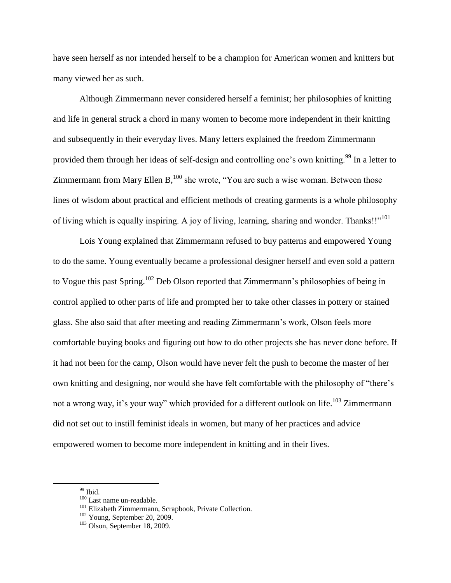have seen herself as nor intended herself to be a champion for American women and knitters but many viewed her as such.

Although Zimmermann never considered herself a feminist; her philosophies of knitting and life in general struck a chord in many women to become more independent in their knitting and subsequently in their everyday lives. Many letters explained the freedom Zimmermann provided them through her ideas of self-design and controlling one's own knitting.<sup>99</sup> In a letter to Zimmermann from Mary Ellen B,  $^{100}$  she wrote, "You are such a wise woman. Between those lines of wisdom about practical and efficient methods of creating garments is a whole philosophy of living which is equally inspiring. A joy of living, learning, sharing and wonder. Thanks!!"<sup>101</sup>

Lois Young explained that Zimmermann refused to buy patterns and empowered Young to do the same. Young eventually became a professional designer herself and even sold a pattern to Vogue this past Spring.<sup>102</sup> Deb Olson reported that Zimmermann's philosophies of being in control applied to other parts of life and prompted her to take other classes in pottery or stained glass. She also said that after meeting and reading Zimmermann"s work, Olson feels more comfortable buying books and figuring out how to do other projects she has never done before. If it had not been for the camp, Olson would have never felt the push to become the master of her own knitting and designing, nor would she have felt comfortable with the philosophy of "there"s not a wrong way, it's your way" which provided for a different outlook on life.<sup>103</sup> Zimmermann did not set out to instill feminist ideals in women, but many of her practices and advice empowered women to become more independent in knitting and in their lives.

 $99$  Ibid.

<sup>&</sup>lt;sup>100</sup> Last name un-readable.

<sup>&</sup>lt;sup>101</sup> Elizabeth Zimmermann, Scrapbook, Private Collection.

<sup>102</sup> Young, September 20, 2009.

<sup>103</sup> Olson, September 18, 2009.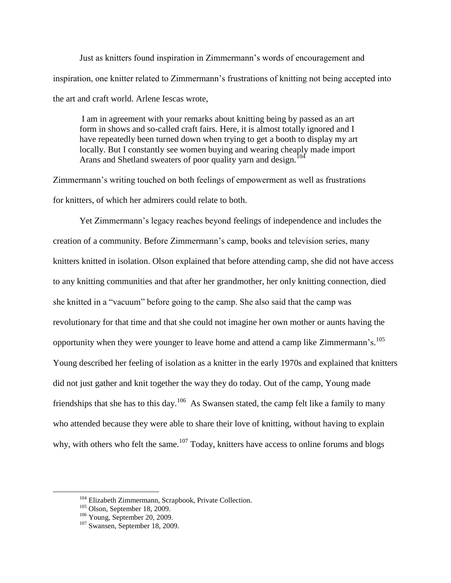Just as knitters found inspiration in Zimmermann"s words of encouragement and inspiration, one knitter related to Zimmermann"s frustrations of knitting not being accepted into the art and craft world. Arlene Iescas wrote,

I am in agreement with your remarks about knitting being by passed as an art form in shows and so-called craft fairs. Here, it is almost totally ignored and I have repeatedly been turned down when trying to get a booth to display my art locally. But I constantly see women buying and wearing cheaply made import Arans and Shetland sweaters of poor quality varn and design.<sup>104</sup>

Zimmermann"s writing touched on both feelings of empowerment as well as frustrations for knitters, of which her admirers could relate to both.

Yet Zimmermann"s legacy reaches beyond feelings of independence and includes the creation of a community. Before Zimmermann"s camp, books and television series, many knitters knitted in isolation. Olson explained that before attending camp, she did not have access to any knitting communities and that after her grandmother, her only knitting connection, died she knitted in a "vacuum" before going to the camp. She also said that the camp was revolutionary for that time and that she could not imagine her own mother or aunts having the opportunity when they were younger to leave home and attend a camp like Zimmermann's.<sup>105</sup> Young described her feeling of isolation as a knitter in the early 1970s and explained that knitters did not just gather and knit together the way they do today. Out of the camp, Young made friendships that she has to this day.<sup>106</sup> As Swansen stated, the camp felt like a family to many who attended because they were able to share their love of knitting, without having to explain why, with others who felt the same.<sup>107</sup> Today, knitters have access to online forums and blogs

<sup>&</sup>lt;sup>104</sup> Elizabeth Zimmermann, Scrapbook, Private Collection.

<sup>105</sup> Olson, September 18, 2009.

<sup>106</sup> Young, September 20, 2009.

<sup>107</sup> Swansen, September 18, 2009.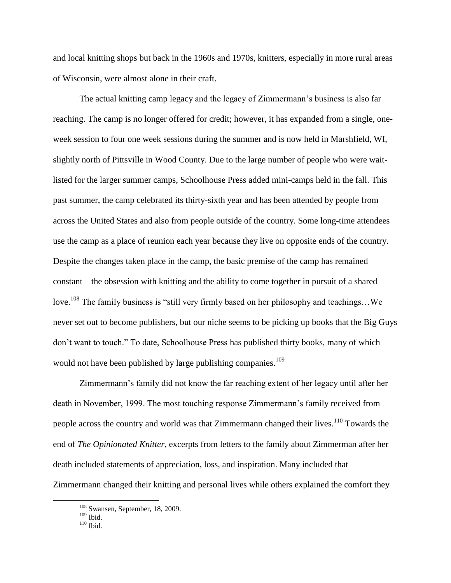and local knitting shops but back in the 1960s and 1970s, knitters, especially in more rural areas of Wisconsin, were almost alone in their craft.

The actual knitting camp legacy and the legacy of Zimmermann"s business is also far reaching. The camp is no longer offered for credit; however, it has expanded from a single, oneweek session to four one week sessions during the summer and is now held in Marshfield, WI, slightly north of Pittsville in Wood County. Due to the large number of people who were waitlisted for the larger summer camps, Schoolhouse Press added mini-camps held in the fall. This past summer, the camp celebrated its thirty-sixth year and has been attended by people from across the United States and also from people outside of the country. Some long-time attendees use the camp as a place of reunion each year because they live on opposite ends of the country. Despite the changes taken place in the camp, the basic premise of the camp has remained constant – the obsession with knitting and the ability to come together in pursuit of a shared love.<sup>108</sup> The family business is "still very firmly based on her philosophy and teachings...We never set out to become publishers, but our niche seems to be picking up books that the Big Guys don"t want to touch." To date, Schoolhouse Press has published thirty books, many of which would not have been published by large publishing companies.<sup>109</sup>

Zimmermann"s family did not know the far reaching extent of her legacy until after her death in November, 1999. The most touching response Zimmermann"s family received from people across the country and world was that Zimmermann changed their lives.<sup>110</sup> Towards the end of *The Opinionated Knitter*, excerpts from letters to the family about Zimmerman after her death included statements of appreciation, loss, and inspiration. Many included that Zimmermann changed their knitting and personal lives while others explained the comfort they

<sup>&</sup>lt;sup>108</sup> Swansen, September, 18, 2009.

 $109$  Ibid.

 $110$  Ibid.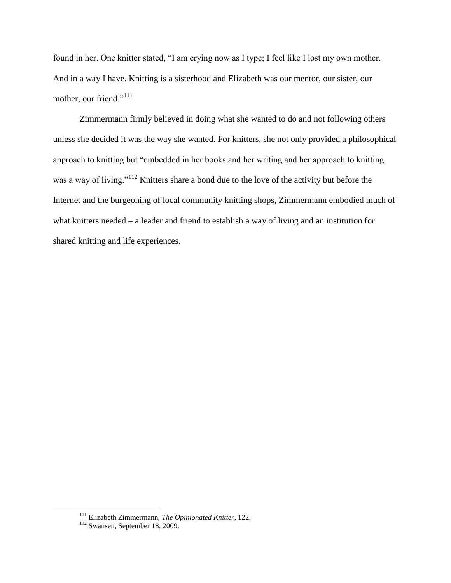found in her. One knitter stated, "I am crying now as I type; I feel like I lost my own mother. And in a way I have. Knitting is a sisterhood and Elizabeth was our mentor, our sister, our mother, our friend."<sup>111</sup>

Zimmermann firmly believed in doing what she wanted to do and not following others unless she decided it was the way she wanted. For knitters, she not only provided a philosophical approach to knitting but "embedded in her books and her writing and her approach to knitting was a way of living."<sup>112</sup> Knitters share a bond due to the love of the activity but before the Internet and the burgeoning of local community knitting shops, Zimmermann embodied much of what knitters needed – a leader and friend to establish a way of living and an institution for shared knitting and life experiences.

<sup>111</sup> Elizabeth Zimmermann, *The Opinionated Knitter*, 122.

 $112$  Swansen, September 18, 2009.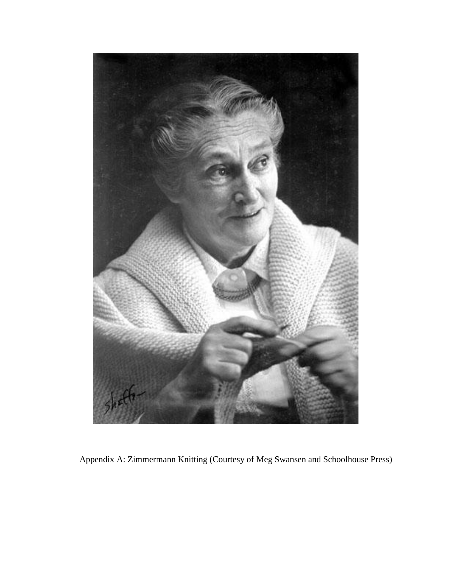

Appendix A: Zimmermann Knitting (Courtesy of Meg Swansen and Schoolhouse Press)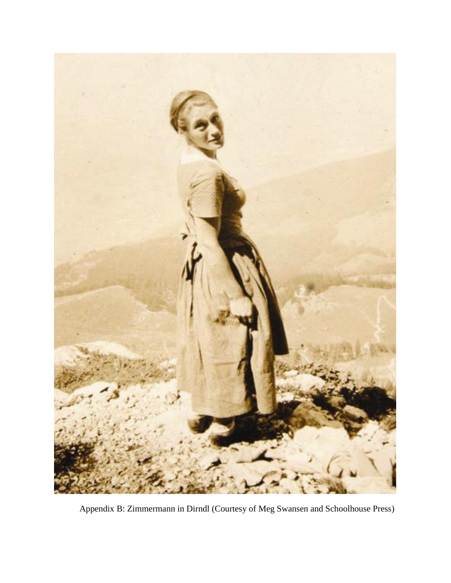

Appendix B: Zimmermann in Dirndl (Courtesy of Meg Swansen and Schoolhouse Press)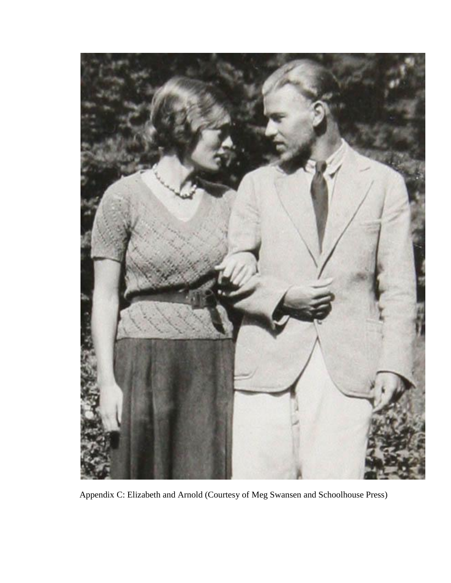

Appendix C: Elizabeth and Arnold (Courtesy of Meg Swansen and Schoolhouse Press)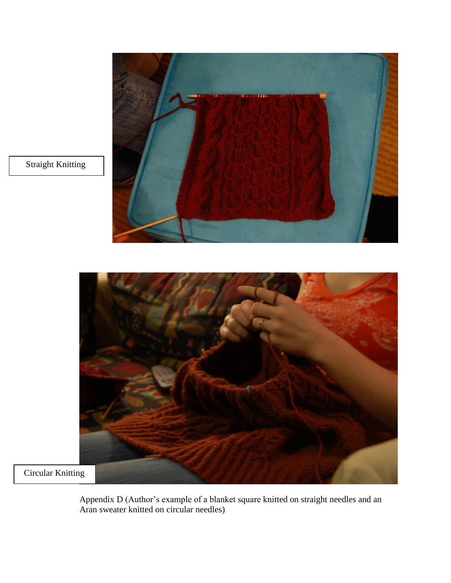

Straight Knitting



Appendix D (Author's example of a blanket square knitted on straight needles and an Aran sweater knitted on circular needles)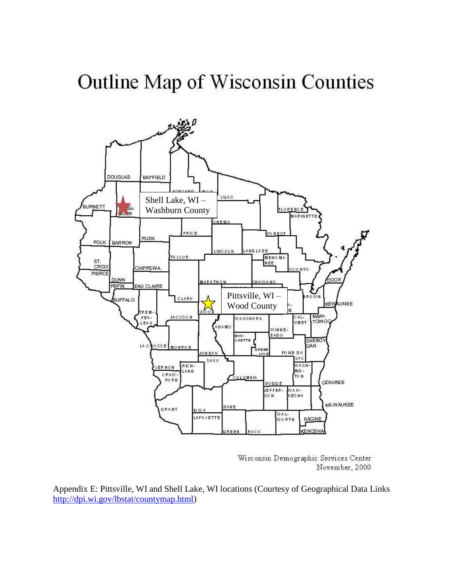# **Outline Map of Wisconsin Counties**



Wisconsin Demographic Services Center November, 2000

Appendix E: Pittsville, WI and Shell Lake, WI locations (Courtesy of Geographical Data Links [http://dpi.wi.gov/lbstat/countymap.html\)](http://dpi.wi.gov/lbstat/countymap.html)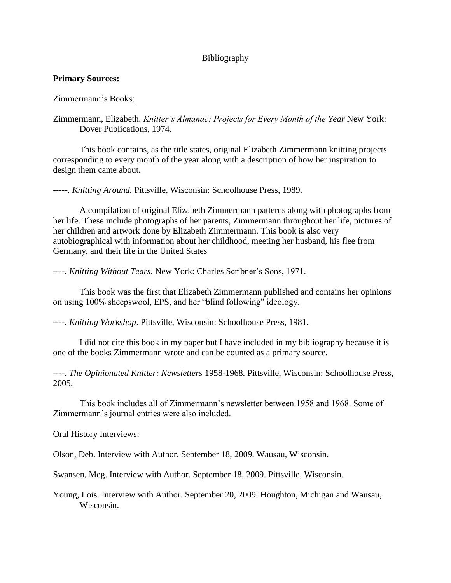# Bibliography

# **Primary Sources:**

## Zimmermann"s Books:

# Zimmermann, Elizabeth. *Knitter's Almanac: Projects for Every Month of the Year* New York: Dover Publications, 1974.

This book contains, as the title states, original Elizabeth Zimmermann knitting projects corresponding to every month of the year along with a description of how her inspiration to design them came about.

-----. *Knitting Around.* Pittsville, Wisconsin: Schoolhouse Press, 1989.

A compilation of original Elizabeth Zimmermann patterns along with photographs from her life. These include photographs of her parents, Zimmermann throughout her life, pictures of her children and artwork done by Elizabeth Zimmermann. This book is also very autobiographical with information about her childhood, meeting her husband, his flee from Germany, and their life in the United States

----. *Knitting Without Tears.* New York: Charles Scribner"s Sons, 1971.

This book was the first that Elizabeth Zimmermann published and contains her opinions on using 100% sheepswool, EPS, and her "blind following" ideology.

----. *Knitting Workshop*. Pittsville, Wisconsin: Schoolhouse Press, 1981.

I did not cite this book in my paper but I have included in my bibliography because it is one of the books Zimmermann wrote and can be counted as a primary source.

----. *The Opinionated Knitter: Newsletters* 1958-1968*.* Pittsville, Wisconsin: Schoolhouse Press, 2005.

This book includes all of Zimmermann"s newsletter between 1958 and 1968. Some of Zimmermann"s journal entries were also included.

Oral History Interviews:

Olson, Deb. Interview with Author. September 18, 2009. Wausau, Wisconsin.

Swansen, Meg. Interview with Author. September 18, 2009. Pittsville, Wisconsin.

Young, Lois. Interview with Author. September 20, 2009. Houghton, Michigan and Wausau, Wisconsin.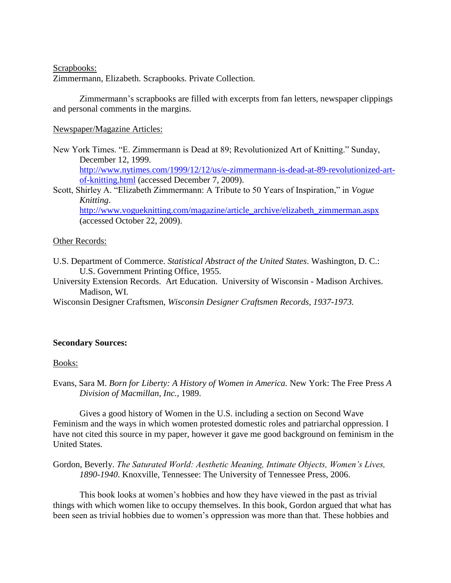Scrapbooks: Zimmermann, Elizabeth. Scrapbooks. Private Collection.

Zimmermann"s scrapbooks are filled with excerpts from fan letters, newspaper clippings and personal comments in the margins.

## Newspaper/Magazine Articles:

New York Times. "E. Zimmermann is Dead at 89; Revolutionized Art of Knitting." Sunday, December 12, 1999. [http://www.nytimes.com/1999/12/12/us/e-zimmermann-is-dead-at-89-revolutionized-art-](http://www.nytimes.com/1999/12/12/us/e-zimmermann-is-dead-at-89-revolutionized-art-of-knitting.html)

[of-knitting.html](http://www.nytimes.com/1999/12/12/us/e-zimmermann-is-dead-at-89-revolutionized-art-of-knitting.html) (accessed December 7, 2009). Scott, Shirley A. "Elizabeth Zimmermann: A Tribute to 50 Years of Inspiration," in *Vogue Knitting*.

[http://www.vogueknitting.com/magazine/article\\_archive/elizabeth\\_zimmerman.aspx](http://www.vogueknitting.com/magazine/article_archive/elizabeth_zimmerman.aspx) (accessed October 22, 2009).

# Other Records:

- U.S. Department of Commerce. *Statistical Abstract of the United States*. Washington, D. C.: U.S. Government Printing Office, 1955.
- University Extension Records. Art Education. University of Wisconsin Madison Archives. Madison, WI.

Wisconsin Designer Craftsmen, *Wisconsin Designer Craftsmen Records, 1937-1973.*

## **Secondary Sources:**

Books:

Evans, Sara M. *Born for Liberty: A History of Women in America.* New York: The Free Press *A Division of Macmillan, Inc.,* 1989.

Gives a good history of Women in the U.S. including a section on Second Wave Feminism and the ways in which women protested domestic roles and patriarchal oppression. I have not cited this source in my paper, however it gave me good background on feminism in the United States.

Gordon, Beverly. *The Saturated World: Aesthetic Meaning, Intimate Objects, Women's Lives, 1890-1940*. Knoxville, Tennessee: The University of Tennessee Press, 2006.

This book looks at women"s hobbies and how they have viewed in the past as trivial things with which women like to occupy themselves. In this book, Gordon argued that what has been seen as trivial hobbies due to women"s oppression was more than that. These hobbies and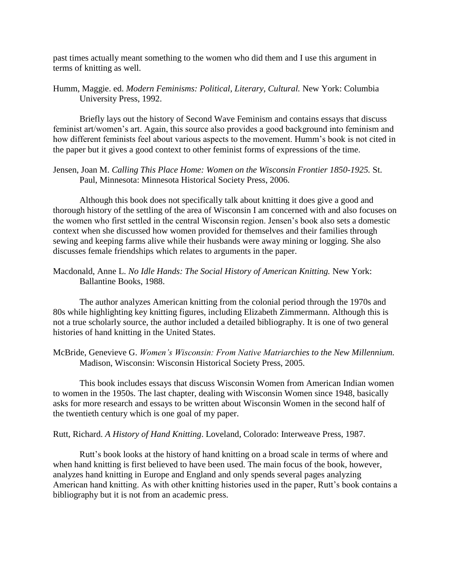past times actually meant something to the women who did them and I use this argument in terms of knitting as well.

Humm, Maggie. ed. *Modern Feminisms: Political, Literary, Cultural.* New York: Columbia University Press, 1992.

Briefly lays out the history of Second Wave Feminism and contains essays that discuss feminist art/women's art. Again, this source also provides a good background into feminism and how different feminists feel about various aspects to the movement. Humm's book is not cited in the paper but it gives a good context to other feminist forms of expressions of the time.

Jensen, Joan M. *Calling This Place Home: Women on the Wisconsin Frontier 1850-1925.* St. Paul, Minnesota: Minnesota Historical Society Press, 2006.

Although this book does not specifically talk about knitting it does give a good and thorough history of the settling of the area of Wisconsin I am concerned with and also focuses on the women who first settled in the central Wisconsin region. Jensen"s book also sets a domestic context when she discussed how women provided for themselves and their families through sewing and keeping farms alive while their husbands were away mining or logging. She also discusses female friendships which relates to arguments in the paper.

Macdonald, Anne L. *No Idle Hands: The Social History of American Knitting.* New York: Ballantine Books, 1988.

The author analyzes American knitting from the colonial period through the 1970s and 80s while highlighting key knitting figures, including Elizabeth Zimmermann. Although this is not a true scholarly source, the author included a detailed bibliography. It is one of two general histories of hand knitting in the United States.

McBride, Genevieve G. *Women's Wisconsin: From Native Matriarchies to the New Millennium.* Madison, Wisconsin: Wisconsin Historical Society Press, 2005.

This book includes essays that discuss Wisconsin Women from American Indian women to women in the 1950s. The last chapter, dealing with Wisconsin Women since 1948, basically asks for more research and essays to be written about Wisconsin Women in the second half of the twentieth century which is one goal of my paper.

Rutt, Richard. *A History of Hand Knitting*. Loveland, Colorado: Interweave Press, 1987.

Rutt"s book looks at the history of hand knitting on a broad scale in terms of where and when hand knitting is first believed to have been used. The main focus of the book, however, analyzes hand knitting in Europe and England and only spends several pages analyzing American hand knitting. As with other knitting histories used in the paper, Rutt's book contains a bibliography but it is not from an academic press.